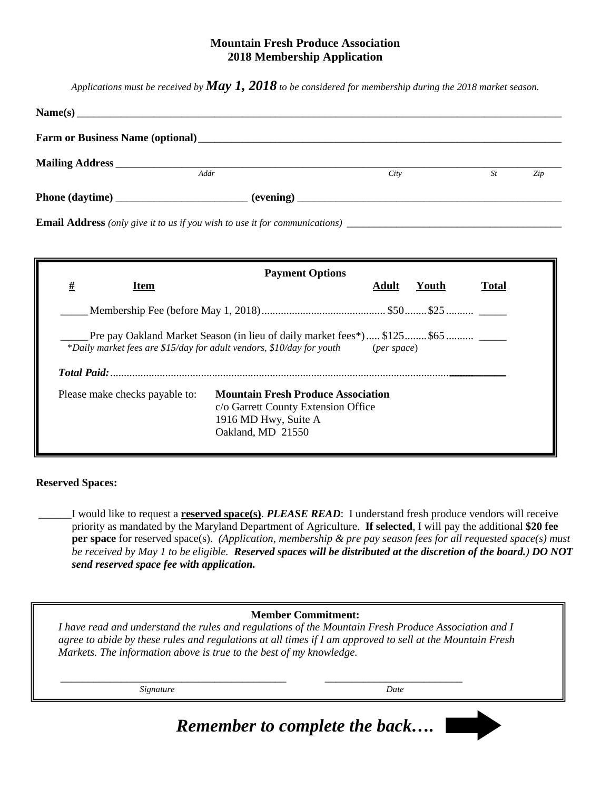## **Mountain Fresh Produce Association 2018 Membership Application**

*Applications must be received by May 1, 2018 to be considered for membership during the 2018 market season.*

| Addr | City | St | Zip |
|------|------|----|-----|
|      |      |    |     |
|      |      |    |     |

| <b>Payment Options</b>                                                                                                                                                                    |                                |                                                                                                                               |       |       |              |  |  |
|-------------------------------------------------------------------------------------------------------------------------------------------------------------------------------------------|--------------------------------|-------------------------------------------------------------------------------------------------------------------------------|-------|-------|--------------|--|--|
| #                                                                                                                                                                                         | <b>Item</b>                    |                                                                                                                               | Adult | Youth | <b>Total</b> |  |  |
|                                                                                                                                                                                           |                                |                                                                                                                               |       |       |              |  |  |
| Pre pay Oakland Market Season (in lieu of daily market fees*)  \$125 \$65<br>*Daily market fees are \$15/day for adult vendors, \$10/day for youth<br>$(\text{per space})$<br>Total Paid: |                                |                                                                                                                               |       |       |              |  |  |
|                                                                                                                                                                                           | Please make checks payable to: | <b>Mountain Fresh Produce Association</b><br>c/o Garrett County Extension Office<br>1916 MD Hwy, Suite A<br>Oakland, MD 21550 |       |       |              |  |  |

## **Reserved Spaces:**

\_\_\_\_\_\_ I would like to request a **reserved space(s)**. *PLEASE READ*: I understand fresh produce vendors will receive priority as mandated by the Maryland Department of Agriculture. **If selected**, I will pay the additional **\$20 fee per space** for reserved space(s). *(Application, membership & pre pay season fees for all requested space(s) must be received by May 1 to be eligible. Reserved spaces will be distributed at the discretion of the board.) DO NOT send reserved space fee with application.* 

## **Member Commitment:**

*I have read and understand the rules and regulations of the Mountain Fresh Produce Association and I agree to abide by these rules and regulations at all times if I am approved to sell at the Mountain Fresh Markets. The information above is true to the best of my knowledge.* 

*Signature Date*

\_\_\_\_\_\_\_\_\_\_\_\_\_\_\_\_\_\_\_\_\_\_\_\_\_\_\_\_\_\_\_\_\_\_\_\_\_\_\_\_\_ \_\_\_\_\_\_\_\_\_\_\_\_\_\_\_\_\_\_\_\_\_\_\_\_\_

*Remember to complete the back….*